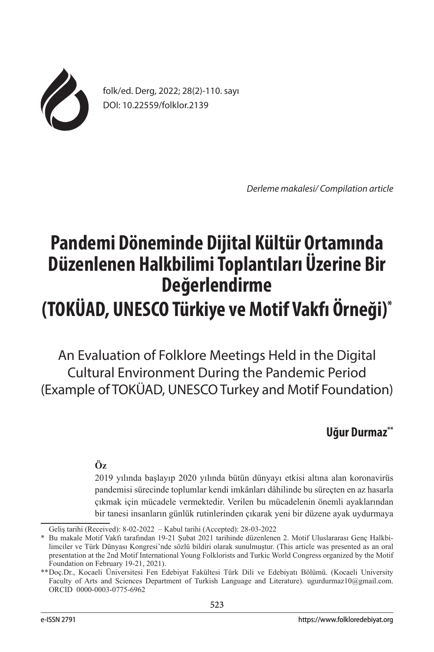

folk/ed. Derg, 2022; 28(2)-110. sayı DOI: 10.22559/folklor.2139

*Derleme makalesi/ Compilation article*

# **Pandemi Döneminde Dijital Kültür Ortamında Düzenlenen Halkbilimi Toplantıları Üzerine Bir Değerlendirme (TOKÜAD, UNESCO Türkiye ve Motif Vakfı Örneği)\***

An Evaluation of Folklore Meetings Held in the Digital Cultural Environment During the Pandemic Period (Example of TOKÜAD, UNESCO Turkey and Motif Foundation)

# **Uğur Durmaz\*\***

# **Öz**

2019 yılında başlayıp 2020 yılında bütün dünyayı etkisi altına alan koronavirüs pandemisi sürecinde toplumlar kendi imkânları dâhilinde bu süreçten en az hasarla çıkmak için mücadele vermektedir. Verilen bu mücadelenin önemli ayaklarından bir tanesi insanların günlük rutinlerinden çıkarak yeni bir düzene ayak uydurmaya

Geliş tarihi (Received): 8-02-2022 – Kabul tarihi (Accepted): 28-03-2022

<sup>\*</sup> Bu makale Motif Vakfı tarafından 19-21 Şubat 2021 tarihinde düzenlenen 2. Motif Uluslararası Genç Halkbilimciler ve Türk Dünyası Kongresi'nde sözlü bildiri olarak sunulmuştur. (This article was presented as an oral presentation at the 2nd Motif International Young Folklorists and Turkic World Congress organized by the Motif Foundation on February 19-21, 2021).

<sup>\*\*</sup>Doç.Dr., Kocaeli Üniversitesi Fen Edebiyat Fakültesi Türk Dili ve Edebiyatı Bölümü. (Kocaeli University Faculty of Arts and Sciences Department of Turkish Language and Literature). ugurdurmaz10@gmail.com. ORCID 0000-0003-0775-6962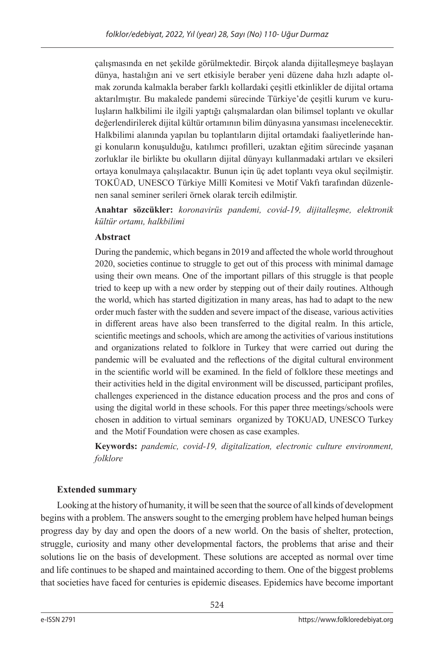çalışmasında en net şekilde görülmektedir. Birçok alanda dijitalleşmeye başlayan dünya, hastalığın ani ve sert etkisiyle beraber yeni düzene daha hızlı adapte olmak zorunda kalmakla beraber farklı kollardaki çeşitli etkinlikler de dijital ortama aktarılmıştır. Bu makalede pandemi sürecinde Türkiye'de çeşitli kurum ve kuruluşların halkbilimi ile ilgili yaptığı çalışmalardan olan bilimsel toplantı ve okullar değerlendirilerek dijital kültür ortamının bilim dünyasına yansıması incelenecektir. Halkbilimi alanında yapılan bu toplantıların dijital ortamdaki faaliyetlerinde hangi konuların konuşulduğu, katılımcı profilleri, uzaktan eğitim sürecinde yaşanan zorluklar ile birlikte bu okulların dijital dünyayı kullanmadaki artıları ve eksileri ortaya konulmaya çalışılacaktır. Bunun için üç adet toplantı veya okul seçilmiştir. TOKÜAD, UNESCO Türkiye Millî Komitesi ve Motif Vakfı tarafından düzenlenen sanal seminer serileri örnek olarak tercih edilmiştir.

**Anahtar sözcükler:** *koronavirüs pandemi, covid-19, dijitalleşme, elektronik kültür ortamı, halkbilimi*

## **Abstract**

During the pandemic, which begans in 2019 and affected the whole world throughout 2020, societies continue to struggle to get out of this process with minimal damage using their own means. One of the important pillars of this struggle is that people tried to keep up with a new order by stepping out of their daily routines. Although the world, which has started digitization in many areas, has had to adapt to the new order much faster with the sudden and severe impact of the disease, various activities in different areas have also been transferred to the digital realm. In this article, scientific meetings and schools, which are among the activities of various institutions and organizations related to folklore in Turkey that were carried out during the pandemic will be evaluated and the reflections of the digital cultural environment in the scientific world will be examined. In the field of folklore these meetings and their activities held in the digital environment will be discussed, participant profiles, challenges experienced in the distance education process and the pros and cons of using the digital world in these schools. For this paper three meetings/schools were chosen in addition to virtual seminars organized by TOKUAD, UNESCO Turkey and the Motif Foundation were chosen as case examples.

**Keywords:** *pandemic, covid-19, digitalization, electronic culture environment, folklore*

## **Extended summary**

Looking at the history of humanity, it will be seen that the source of all kinds of development begins with a problem. The answers sought to the emerging problem have helped human beings progress day by day and open the doors of a new world. On the basis of shelter, protection, struggle, curiosity and many other developmental factors, the problems that arise and their solutions lie on the basis of development. These solutions are accepted as normal over time and life continues to be shaped and maintained according to them. One of the biggest problems that societies have faced for centuries is epidemic diseases. Epidemics have become important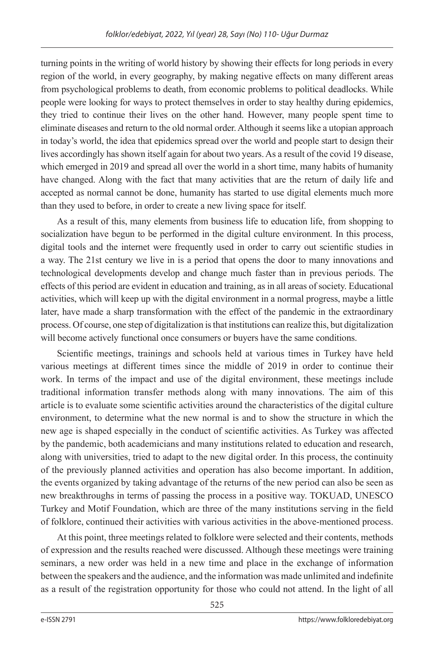turning points in the writing of world history by showing their effects for long periods in every region of the world, in every geography, by making negative effects on many different areas from psychological problems to death, from economic problems to political deadlocks. While people were looking for ways to protect themselves in order to stay healthy during epidemics, they tried to continue their lives on the other hand. However, many people spent time to eliminate diseases and return to the old normal order. Although it seems like a utopian approach in today's world, the idea that epidemics spread over the world and people start to design their lives accordingly has shown itself again for about two years. As a result of the covid 19 disease, which emerged in 2019 and spread all over the world in a short time, many habits of humanity have changed. Along with the fact that many activities that are the return of daily life and accepted as normal cannot be done, humanity has started to use digital elements much more than they used to before, in order to create a new living space for itself.

As a result of this, many elements from business life to education life, from shopping to socialization have begun to be performed in the digital culture environment. In this process, digital tools and the internet were frequently used in order to carry out scientific studies in a way. The 21st century we live in is a period that opens the door to many innovations and technological developments develop and change much faster than in previous periods. The effects of this period are evident in education and training, as in all areas of society. Educational activities, which will keep up with the digital environment in a normal progress, maybe a little later, have made a sharp transformation with the effect of the pandemic in the extraordinary process. Of course, one step of digitalization is that institutions can realize this, but digitalization will become actively functional once consumers or buyers have the same conditions.

Scientific meetings, trainings and schools held at various times in Turkey have held various meetings at different times since the middle of 2019 in order to continue their work. In terms of the impact and use of the digital environment, these meetings include traditional information transfer methods along with many innovations. The aim of this article is to evaluate some scientific activities around the characteristics of the digital culture environment, to determine what the new normal is and to show the structure in which the new age is shaped especially in the conduct of scientific activities. As Turkey was affected by the pandemic, both academicians and many institutions related to education and research, along with universities, tried to adapt to the new digital order. In this process, the continuity of the previously planned activities and operation has also become important. In addition, the events organized by taking advantage of the returns of the new period can also be seen as new breakthroughs in terms of passing the process in a positive way. TOKUAD, UNESCO Turkey and Motif Foundation, which are three of the many institutions serving in the field of folklore, continued their activities with various activities in the above-mentioned process.

At this point, three meetings related to folklore were selected and their contents, methods of expression and the results reached were discussed. Although these meetings were training seminars, a new order was held in a new time and place in the exchange of information between the speakers and the audience, and the information was made unlimited and indefinite as a result of the registration opportunity for those who could not attend. In the light of all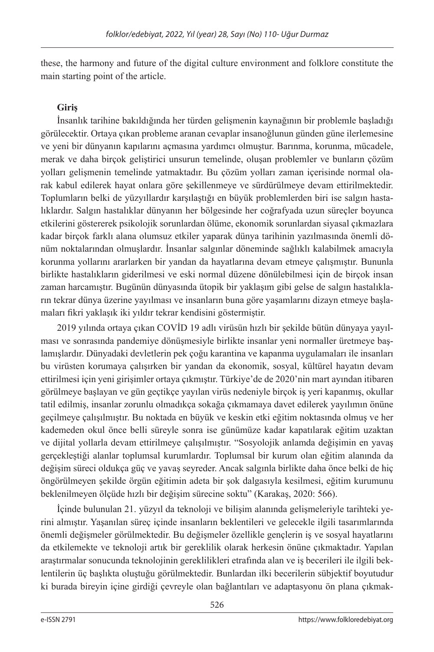these, the harmony and future of the digital culture environment and folklore constitute the main starting point of the article.

## **Giriş**

İnsanlık tarihine bakıldığında her türden gelişmenin kaynağının bir problemle başladığı görülecektir. Ortaya çıkan probleme aranan cevaplar insanoğlunun günden güne ilerlemesine ve yeni bir dünyanın kapılarını açmasına yardımcı olmuştur. Barınma, korunma, mücadele, merak ve daha birçok geliştirici unsurun temelinde, oluşan problemler ve bunların çözüm yolları gelişmenin temelinde yatmaktadır. Bu çözüm yolları zaman içerisinde normal olarak kabul edilerek hayat onlara göre şekillenmeye ve sürdürülmeye devam ettirilmektedir. Toplumların belki de yüzyıllardır karşılaştığı en büyük problemlerden biri ise salgın hastalıklardır. Salgın hastalıklar dünyanın her bölgesinde her coğrafyada uzun süreçler boyunca etkilerini göstererek psikolojik sorunlardan ölüme, ekonomik sorunlardan siyasal çıkmazlara kadar birçok farklı alana olumsuz etkiler yaparak dünya tarihinin yazılmasında önemli dönüm noktalarından olmuşlardır. İnsanlar salgınlar döneminde sağlıklı kalabilmek amacıyla korunma yollarını ararlarken bir yandan da hayatlarına devam etmeye çalışmıştır. Bununla birlikte hastalıkların giderilmesi ve eski normal düzene dönülebilmesi için de birçok insan zaman harcamıştır. Bugünün dünyasında ütopik bir yaklaşım gibi gelse de salgın hastalıkların tekrar dünya üzerine yayılması ve insanların buna göre yaşamlarını dizayn etmeye başlamaları fikri yaklaşık iki yıldır tekrar kendisini göstermiştir.

2019 yılında ortaya çıkan COVİD 19 adlı virüsün hızlı bir şekilde bütün dünyaya yayılması ve sonrasında pandemiye dönüşmesiyle birlikte insanlar yeni normaller üretmeye başlamışlardır. Dünyadaki devletlerin pek çoğu karantina ve kapanma uygulamaları ile insanları bu virüsten korumaya çalışırken bir yandan da ekonomik, sosyal, kültürel hayatın devam ettirilmesi için yeni girişimler ortaya çıkmıştır. Türkiye'de de 2020'nin mart ayından itibaren görülmeye başlayan ve gün geçtikçe yayılan virüs nedeniyle birçok iş yeri kapanmış, okullar tatil edilmiş, insanlar zorunlu olmadıkça sokağa çıkmamaya davet edilerek yayılımın önüne geçilmeye çalışılmıştır. Bu noktada en büyük ve keskin etki eğitim noktasında olmuş ve her kademeden okul önce belli süreyle sonra ise günümüze kadar kapatılarak eğitim uzaktan ve dijital yollarla devam ettirilmeye çalışılmıştır. "Sosyolojik anlamda değişimin en yavaş gerçekleştiği alanlar toplumsal kurumlardır. Toplumsal bir kurum olan eğitim alanında da değişim süreci oldukça güç ve yavaş seyreder. Ancak salgınla birlikte daha önce belki de hiç öngörülmeyen şekilde örgün eğitimin adeta bir şok dalgasıyla kesilmesi, eğitim kurumunu beklenilmeyen ölçüde hızlı bir değişim sürecine soktu" (Karakaş, 2020: 566).

İçinde bulunulan 21. yüzyıl da teknoloji ve bilişim alanında gelişmeleriyle tarihteki yerini almıştır. Yaşanılan süreç içinde insanların beklentileri ve gelecekle ilgili tasarımlarında önemli değişmeler görülmektedir. Bu değişmeler özellikle gençlerin iş ve sosyal hayatlarını da etkilemekte ve teknoloji artık bir gereklilik olarak herkesin önüne çıkmaktadır. Yapılan araştırmalar sonucunda teknolojinin gereklilikleri etrafında alan ve iş becerileri ile ilgili beklentilerin üç başlıkta oluştuğu görülmektedir. Bunlardan ilki becerilerin sübjektif boyutudur ki burada bireyin içine girdiği çevreyle olan bağlantıları ve adaptasyonu ön plana çıkmak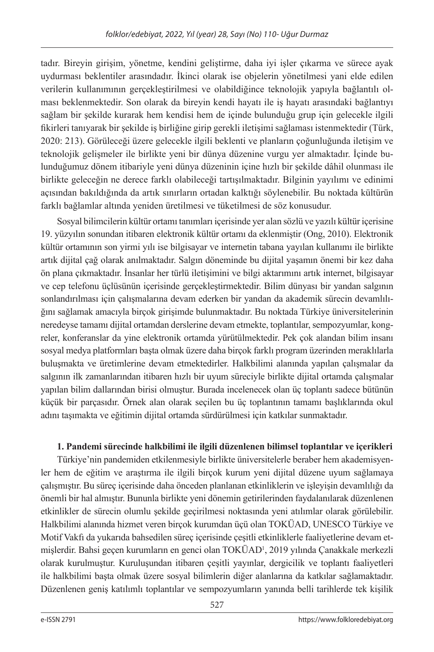tadır. Bireyin girişim, yönetme, kendini geliştirme, daha iyi işler çıkarma ve sürece ayak uydurması beklentiler arasındadır. İkinci olarak ise objelerin yönetilmesi yani elde edilen verilerin kullanımının gerçekleştirilmesi ve olabildiğince teknolojik yapıyla bağlantılı olması beklenmektedir. Son olarak da bireyin kendi hayatı ile iş hayatı arasındaki bağlantıyı sağlam bir şekilde kurarak hem kendisi hem de içinde bulunduğu grup için gelecekle ilgili fikirleri tanıyarak bir şekilde iş birliğine girip gerekli iletişimi sağlaması istenmektedir (Türk, 2020: 213). Görüleceği üzere gelecekle ilgili beklenti ve planların çoğunluğunda iletişim ve teknolojik gelişmeler ile birlikte yeni bir dünya düzenine vurgu yer almaktadır. İçinde bulunduğumuz dönem itibariyle yeni dünya düzeninin içine hızlı bir şekilde dâhil olunması ile birlikte geleceğin ne derece farklı olabileceği tartışılmaktadır. Bilginin yayılımı ve edinimi açısından bakıldığında da artık sınırların ortadan kalktığı söylenebilir. Bu noktada kültürün farklı bağlamlar altında yeniden üretilmesi ve tüketilmesi de söz konusudur.

Sosyal bilimcilerin kültür ortamı tanımları içerisinde yer alan sözlü ve yazılı kültür içerisine 19. yüzyılın sonundan itibaren elektronik kültür ortamı da eklenmiştir (Ong, 2010). Elektronik kültür ortamının son yirmi yılı ise bilgisayar ve internetin tabana yayılan kullanımı ile birlikte artık dijital çağ olarak anılmaktadır. Salgın döneminde bu dijital yaşamın önemi bir kez daha ön plana çıkmaktadır. İnsanlar her türlü iletişimini ve bilgi aktarımını artık internet, bilgisayar ve cep telefonu üçlüsünün içerisinde gerçekleştirmektedir. Bilim dünyası bir yandan salgının sonlandırılması için çalışmalarına devam ederken bir yandan da akademik sürecin devamlılığını sağlamak amacıyla birçok girişimde bulunmaktadır. Bu noktada Türkiye üniversitelerinin neredeyse tamamı dijital ortamdan derslerine devam etmekte, toplantılar, sempozyumlar, kongreler, konferanslar da yine elektronik ortamda yürütülmektedir. Pek çok alandan bilim insanı sosyal medya platformları başta olmak üzere daha birçok farklı program üzerinden meraklılarla buluşmakta ve üretimlerine devam etmektedirler. Halkbilimi alanında yapılan çalışmalar da salgının ilk zamanlarından itibaren hızlı bir uyum süreciyle birlikte dijital ortamda çalışmalar yapılan bilim dallarından birisi olmuştur. Burada incelenecek olan üç toplantı sadece bütünün küçük bir parçasıdır. Örnek alan olarak seçilen bu üç toplantının tamamı başlıklarında okul adını taşımakta ve eğitimin dijital ortamda sürdürülmesi için katkılar sunmaktadır.

# **1. Pandemi sürecinde halkbilimi ile ilgili düzenlenen bilimsel toplantılar ve içerikleri**

Türkiye'nin pandemiden etkilenmesiyle birlikte üniversitelerle beraber hem akademisyenler hem de eğitim ve araştırma ile ilgili birçok kurum yeni dijital düzene uyum sağlamaya çalışmıştır. Bu süreç içerisinde daha önceden planlanan etkinliklerin ve işleyişin devamlılığı da önemli bir hal almıştır. Bununla birlikte yeni dönemin getirilerinden faydalanılarak düzenlenen etkinlikler de sürecin olumlu şekilde geçirilmesi noktasında yeni atılımlar olarak görülebilir. Halkbilimi alanında hizmet veren birçok kurumdan üçü olan TOKÜAD, UNESCO Türkiye ve Motif Vakfı da yukarıda bahsedilen süreç içerisinde çeşitli etkinliklerle faaliyetlerine devam etmişlerdir. Bahsi geçen kurumların en genci olan TOKÜAD1 , 2019 yılında Çanakkale merkezli olarak kurulmuştur. Kuruluşundan itibaren çeşitli yayınlar, dergicilik ve toplantı faaliyetleri ile halkbilimi başta olmak üzere sosyal bilimlerin diğer alanlarına da katkılar sağlamaktadır. Düzenlenen geniş katılımlı toplantılar ve sempozyumların yanında belli tarihlerde tek kişilik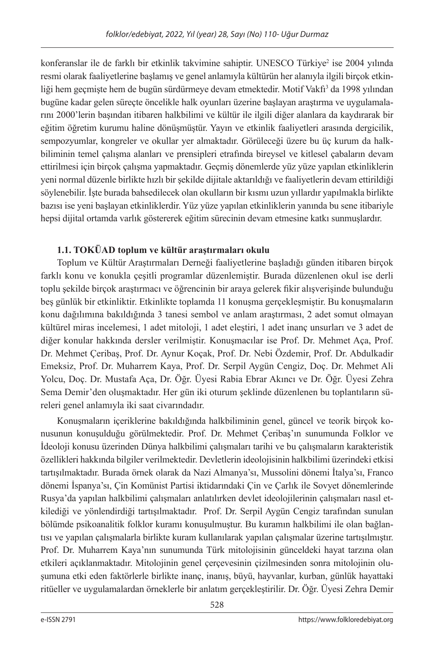konferanslar ile de farklı bir etkinlik takvimine sahiptir. UNESCO Türkiye<sup>2</sup> ise 2004 yılında resmi olarak faaliyetlerine başlamış ve genel anlamıyla kültürün her alanıyla ilgili birçok etkinliği hem geçmişte hem de bugün sürdürmeye devam etmektedir. Motif Vakfı<sup>3</sup> da 1998 yılından bugüne kadar gelen süreçte öncelikle halk oyunları üzerine başlayan araştırma ve uygulamalarını 2000'lerin başından itibaren halkbilimi ve kültür ile ilgili diğer alanlara da kaydırarak bir eğitim öğretim kurumu haline dönüşmüştür. Yayın ve etkinlik faaliyetleri arasında dergicilik, sempozyumlar, kongreler ve okullar yer almaktadır. Görüleceği üzere bu üç kurum da halkbiliminin temel çalışma alanları ve prensipleri etrafında bireysel ve kitlesel çabaların devam ettirilmesi için birçok çalışma yapmaktadır. Geçmiş dönemlerde yüz yüze yapılan etkinliklerin yeni normal düzenle birlikte hızlı bir şekilde dijitale aktarıldığı ve faaliyetlerin devam ettirildiği söylenebilir. İşte burada bahsedilecek olan okulların bir kısmı uzun yıllardır yapılmakla birlikte bazısı ise yeni başlayan etkinliklerdir. Yüz yüze yapılan etkinliklerin yanında bu sene itibariyle hepsi dijital ortamda varlık göstererek eğitim sürecinin devam etmesine katkı sunmuşlardır.

# **1.1. TOKÜAD toplum ve kültür araştırmaları okulu**

Toplum ve Kültür Araştırmaları Derneği faaliyetlerine başladığı günden itibaren birçok farklı konu ve konukla çeşitli programlar düzenlemiştir. Burada düzenlenen okul ise derli toplu şekilde birçok araştırmacı ve öğrencinin bir araya gelerek fikir alışverişinde bulunduğu beş günlük bir etkinliktir. Etkinlikte toplamda 11 konuşma gerçekleşmiştir. Bu konuşmaların konu dağılımına bakıldığında 3 tanesi sembol ve anlam araştırması, 2 adet somut olmayan kültürel miras incelemesi, 1 adet mitoloji, 1 adet eleştiri, 1 adet inanç unsurları ve 3 adet de diğer konular hakkında dersler verilmiştir. Konuşmacılar ise Prof. Dr. Mehmet Aça, Prof. Dr. Mehmet Çeribaş, Prof. Dr. Aynur Koçak, Prof. Dr. Nebi Özdemir, Prof. Dr. Abdulkadir Emeksiz, Prof. Dr. Muharrem Kaya, Prof. Dr. Serpil Aygün Cengiz, Doç. Dr. Mehmet Ali Yolcu, Doç. Dr. Mustafa Aça, Dr. Öğr. Üyesi Rabia Ebrar Akıncı ve Dr. Öğr. Üyesi Zehra Sema Demir'den oluşmaktadır. Her gün iki oturum şeklinde düzenlenen bu toplantıların süreleri genel anlamıyla iki saat civarındadır.

Konuşmaların içeriklerine bakıldığında halkbiliminin genel, güncel ve teorik birçok konusunun konuşulduğu görülmektedir. Prof. Dr. Mehmet Çeribaş'ın sunumunda Folklor ve İdeoloji konusu üzerinden Dünya halkbilimi çalışmaları tarihi ve bu çalışmaların karakteristik özellikleri hakkında bilgiler verilmektedir. Devletlerin ideolojisinin halkbilimi üzerindeki etkisi tartışılmaktadır. Burada örnek olarak da Nazi Almanya'sı, Mussolini dönemi İtalya'sı, Franco dönemi İspanya'sı, Çin Komünist Partisi iktidarındaki Çin ve Çarlık ile Sovyet dönemlerinde Rusya'da yapılan halkbilimi çalışmaları anlatılırken devlet ideolojilerinin çalışmaları nasıl etkilediği ve yönlendirdiği tartışılmaktadır. Prof. Dr. Serpil Aygün Cengiz tarafından sunulan bölümde psikoanalitik folklor kuramı konuşulmuştur. Bu kuramın halkbilimi ile olan bağlantısı ve yapılan çalışmalarla birlikte kuram kullanılarak yapılan çalışmalar üzerine tartışılmıştır. Prof. Dr. Muharrem Kaya'nın sunumunda Türk mitolojisinin günceldeki hayat tarzına olan etkileri açıklanmaktadır. Mitolojinin genel çerçevesinin çizilmesinden sonra mitolojinin oluşumuna etki eden faktörlerle birlikte inanç, inanış, büyü, hayvanlar, kurban, günlük hayattaki ritüeller ve uygulamalardan örneklerle bir anlatım gerçekleştirilir. Dr. Öğr. Üyesi Zehra Demir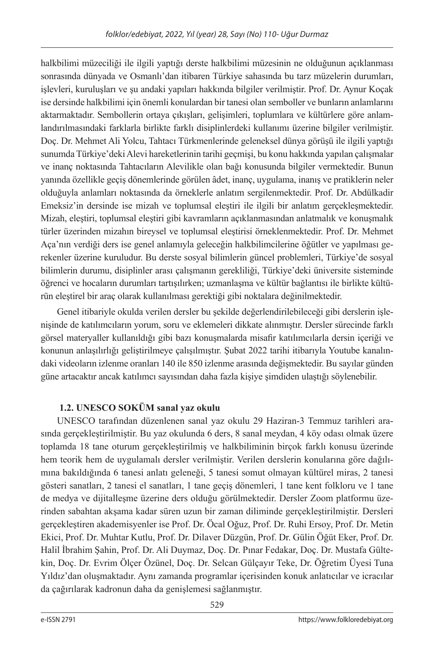halkbilimi müzeciliği ile ilgili yaptığı derste halkbilimi müzesinin ne olduğunun açıklanması sonrasında dünyada ve Osmanlı'dan itibaren Türkiye sahasında bu tarz müzelerin durumları, işlevleri, kuruluşları ve şu andaki yapıları hakkında bilgiler verilmiştir. Prof. Dr. Aynur Koçak ise dersinde halkbilimi için önemli konulardan bir tanesi olan semboller ve bunların anlamlarını aktarmaktadır. Sembollerin ortaya çıkışları, gelişimleri, toplumlara ve kültürlere göre anlamlandırılmasındaki farklarla birlikte farklı disiplinlerdeki kullanımı üzerine bilgiler verilmiştir. Doç. Dr. Mehmet Ali Yolcu, Tahtacı Türkmenlerinde geleneksel dünya görüşü ile ilgili yaptığı sunumda Türkiye'deki Alevi hareketlerinin tarihi geçmişi, bu konu hakkında yapılan çalışmalar ve inanç noktasında Tahtacıların Alevilikle olan bağı konusunda bilgiler vermektedir. Bunun yanında özellikle geçiş dönemlerinde görülen âdet, inanç, uygulama, inanış ve pratiklerin neler olduğuyla anlamları noktasında da örneklerle anlatım sergilenmektedir. Prof. Dr. Abdülkadir Emeksiz'in dersinde ise mizah ve toplumsal eleştiri ile ilgili bir anlatım gerçekleşmektedir. Mizah, eleştiri, toplumsal eleştiri gibi kavramların açıklanmasından anlatmalık ve konuşmalık türler üzerinden mizahın bireysel ve toplumsal eleştirisi örneklenmektedir. Prof. Dr. Mehmet Aça'nın verdiği ders ise genel anlamıyla geleceğin halkbilimcilerine öğütler ve yapılması gerekenler üzerine kuruludur. Bu derste sosyal bilimlerin güncel problemleri, Türkiye'de sosyal bilimlerin durumu, disiplinler arası çalışmanın gerekliliği, Türkiye'deki üniversite sisteminde öğrenci ve hocaların durumları tartışılırken; uzmanlaşma ve kültür bağlantısı ile birlikte kültürün eleştirel bir araç olarak kullanılması gerektiği gibi noktalara değinilmektedir.

Genel itibariyle okulda verilen dersler bu şekilde değerlendirilebileceği gibi derslerin işlenişinde de katılımcıların yorum, soru ve eklemeleri dikkate alınmıştır. Dersler sürecinde farklı görsel materyaller kullanıldığı gibi bazı konuşmalarda misafir katılımcılarla dersin içeriği ve konunun anlaşılırlığı geliştirilmeye çalışılmıştır. Şubat 2022 tarihi itibarıyla Youtube kanalındaki videoların izlenme oranları 140 ile 850 izlenme arasında değişmektedir. Bu sayılar günden güne artacaktır ancak katılımcı sayısından daha fazla kişiye şimdiden ulaştığı söylenebilir.

# **1.2. UNESCO SOKÜM sanal yaz okulu**

UNESCO tarafından düzenlenen sanal yaz okulu 29 Haziran-3 Temmuz tarihleri arasında gerçekleştirilmiştir. Bu yaz okulunda 6 ders, 8 sanal meydan, 4 köy odası olmak üzere toplamda 18 tane oturum gerçekleştirilmiş ve halkbiliminin birçok farklı konusu üzerinde hem teorik hem de uygulamalı dersler verilmiştir. Verilen derslerin konularına göre dağılımına bakıldığında 6 tanesi anlatı geleneği, 5 tanesi somut olmayan kültürel miras, 2 tanesi gösteri sanatları, 2 tanesi el sanatları, 1 tane geçiş dönemleri, 1 tane kent folkloru ve 1 tane de medya ve dijitalleşme üzerine ders olduğu görülmektedir. Dersler Zoom platformu üzerinden sabahtan akşama kadar süren uzun bir zaman diliminde gerçekleştirilmiştir. Dersleri gerçekleştiren akademisyenler ise Prof. Dr. Öcal Oğuz, Prof. Dr. Ruhi Ersoy, Prof. Dr. Metin Ekici, Prof. Dr. Muhtar Kutlu, Prof. Dr. Dilaver Düzgün, Prof. Dr. Gülin Öğüt Eker, Prof. Dr. Halil İbrahim Şahin, Prof. Dr. Ali Duymaz, Doç. Dr. Pınar Fedakar, Doç. Dr. Mustafa Gültekin, Doç. Dr. Evrim Ölçer Özünel, Doç. Dr. Selcan Gülçayır Teke, Dr. Öğretim Üyesi Tuna Yıldız'dan oluşmaktadır. Aynı zamanda programlar içerisinden konuk anlatıcılar ve icracılar da çağırılarak kadronun daha da genişlemesi sağlanmıştır.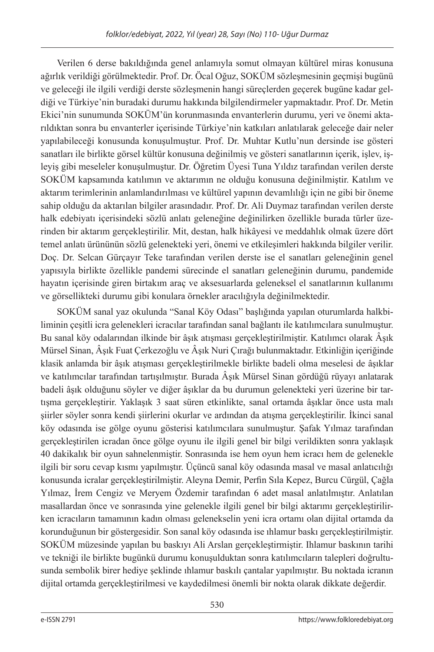Verilen 6 derse bakıldığında genel anlamıyla somut olmayan kültürel miras konusuna ağırlık verildiği görülmektedir. Prof. Dr. Öcal Oğuz, SOKÜM sözleşmesinin geçmişi bugünü ve geleceği ile ilgili verdiği derste sözleşmenin hangi süreçlerden geçerek bugüne kadar geldiği ve Türkiye'nin buradaki durumu hakkında bilgilendirmeler yapmaktadır. Prof. Dr. Metin Ekici'nin sunumunda SOKÜM'ün korunmasında envanterlerin durumu, yeri ve önemi aktarıldıktan sonra bu envanterler içerisinde Türkiye'nin katkıları anlatılarak geleceğe dair neler yapılabileceği konusunda konuşulmuştur. Prof. Dr. Muhtar Kutlu'nun dersinde ise gösteri sanatları ile birlikte görsel kültür konusuna değinilmiş ve gösteri sanatlarının içerik, işlev, işleyiş gibi meseleler konuşulmuştur. Dr. Öğretim Üyesi Tuna Yıldız tarafından verilen derste SOKÜM kapsamında katılımın ve aktarımın ne olduğu konusuna değinilmiştir. Katılım ve aktarım terimlerinin anlamlandırılması ve kültürel yapının devamlılığı için ne gibi bir öneme sahip olduğu da aktarılan bilgiler arasındadır. Prof. Dr. Ali Duymaz tarafından verilen derste halk edebiyatı içerisindeki sözlü anlatı geleneğine değinilirken özellikle burada türler üzerinden bir aktarım gerçekleştirilir. Mit, destan, halk hikâyesi ve meddahlık olmak üzere dört temel anlatı ürününün sözlü gelenekteki yeri, önemi ve etkileşimleri hakkında bilgiler verilir. Doç. Dr. Selcan Gürçayır Teke tarafından verilen derste ise el sanatları geleneğinin genel yapısıyla birlikte özellikle pandemi sürecinde el sanatları geleneğinin durumu, pandemide hayatın içerisinde giren birtakım araç ve aksesuarlarda geleneksel el sanatlarının kullanımı ve görsellikteki durumu gibi konulara örnekler aracılığıyla değinilmektedir.

SOKÜM sanal yaz okulunda "Sanal Köy Odası" başlığında yapılan oturumlarda halkbiliminin çeşitli icra gelenekleri icracılar tarafından sanal bağlantı ile katılımcılara sunulmuştur. Bu sanal köy odalarından ilkinde bir âşık atışması gerçekleştirilmiştir. Katılımcı olarak Âşık Mürsel Sinan, Âşık Fuat Çerkezoğlu ve Âşık Nuri Çırağı bulunmaktadır. Etkinliğin içeriğinde klasik anlamda bir âşık atışması gerçekleştirilmekle birlikte badeli olma meselesi de âşıklar ve katılımcılar tarafından tartışılmıştır. Burada Âşık Mürsel Sinan gördüğü rüyayı anlatarak badeli âşık olduğunu söyler ve diğer âşıklar da bu durumun gelenekteki yeri üzerine bir tartışma gerçekleştirir. Yaklaşık 3 saat süren etkinlikte, sanal ortamda âşıklar önce usta malı şiirler söyler sonra kendi şiirlerini okurlar ve ardından da atışma gerçekleştirilir. İkinci sanal köy odasında ise gölge oyunu gösterisi katılımcılara sunulmuştur. Şafak Yılmaz tarafından gerçekleştirilen icradan önce gölge oyunu ile ilgili genel bir bilgi verildikten sonra yaklaşık 40 dakikalık bir oyun sahnelenmiştir. Sonrasında ise hem oyun hem icracı hem de gelenekle ilgili bir soru cevap kısmı yapılmıştır. Üçüncü sanal köy odasında masal ve masal anlatıcılığı konusunda icralar gerçekleştirilmiştir. Aleyna Demir, Perfin Sıla Kepez, Burcu Cürgül, Çağla Yılmaz, İrem Cengiz ve Meryem Özdemir tarafından 6 adet masal anlatılmıştır. Anlatılan masallardan önce ve sonrasında yine gelenekle ilgili genel bir bilgi aktarımı gerçekleştirilirken icracıların tamamının kadın olması gelenekselin yeni icra ortamı olan dijital ortamda da korunduğunun bir göstergesidir. Son sanal köy odasında ise ıhlamur baskı gerçekleştirilmiştir. SOKÜM müzesinde yapılan bu baskıyı Ali Arslan gerçekleştirmiştir. Ihlamur baskının tarihi ve tekniği ile birlikte bugünkü durumu konuşulduktan sonra katılımcıların talepleri doğrultusunda sembolik birer hediye şeklinde ıhlamur baskılı çantalar yapılmıştır. Bu noktada icranın dijital ortamda gerçekleştirilmesi ve kaydedilmesi önemli bir nokta olarak dikkate değerdir.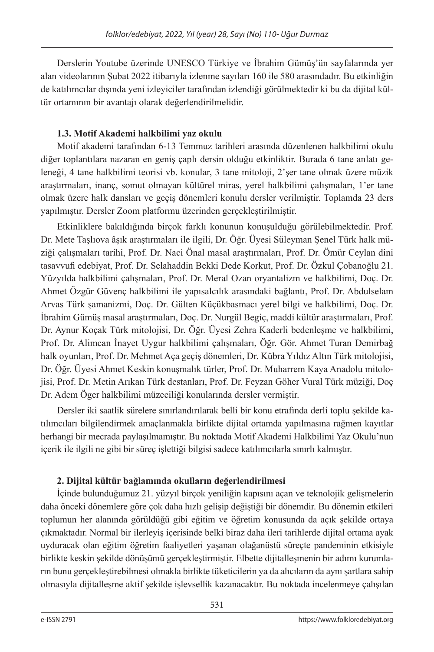Derslerin Youtube üzerinde UNESCO Türkiye ve İbrahim Gümüş'ün sayfalarında yer alan videolarının Şubat 2022 itibarıyla izlenme sayıları 160 ile 580 arasındadır. Bu etkinliğin de katılımcılar dışında yeni izleyiciler tarafından izlendiği görülmektedir ki bu da dijital kültür ortamının bir avantajı olarak değerlendirilmelidir.

# **1.3. Motif Akademi halkbilimi yaz okulu**

Motif akademi tarafından 6-13 Temmuz tarihleri arasında düzenlenen halkbilimi okulu diğer toplantılara nazaran en geniş çaplı dersin olduğu etkinliktir. Burada 6 tane anlatı geleneği, 4 tane halkbilimi teorisi vb. konular, 3 tane mitoloji, 2'şer tane olmak üzere müzik araştırmaları, inanç, somut olmayan kültürel miras, yerel halkbilimi çalışmaları, 1'er tane olmak üzere halk dansları ve geçiş dönemleri konulu dersler verilmiştir. Toplamda 23 ders yapılmıştır. Dersler Zoom platformu üzerinden gerçekleştirilmiştir.

Etkinliklere bakıldığında birçok farklı konunun konuşulduğu görülebilmektedir. Prof. Dr. Mete Taşlıova âşık araştırmaları ile ilgili, Dr. Öğr. Üyesi Süleyman Şenel Türk halk müziği çalışmaları tarihi, Prof. Dr. Naci Önal masal araştırmaları, Prof. Dr. Ömür Ceylan dini tasavvufi edebiyat, Prof. Dr. Selahaddin Bekki Dede Korkut, Prof. Dr. Özkul Çobanoğlu 21. Yüzyılda halkbilimi çalışmaları, Prof. Dr. Meral Ozan oryantalizm ve halkbilimi, Doç. Dr. Ahmet Özgür Güvenç halkbilimi ile yapısalcılık arasındaki bağlantı, Prof. Dr. Abdulselam Arvas Türk şamanizmi, Doç. Dr. Gülten Küçükbasmacı yerel bilgi ve halkbilimi, Doç. Dr. İbrahim Gümüş masal araştırmaları, Doç. Dr. Nurgül Begiç, maddi kültür araştırmaları, Prof. Dr. Aynur Koçak Türk mitolojisi, Dr. Öğr. Üyesi Zehra Kaderli bedenleşme ve halkbilimi, Prof. Dr. Alimcan İnayet Uygur halkbilimi çalışmaları, Öğr. Gör. Ahmet Turan Demirbağ halk oyunları, Prof. Dr. Mehmet Aça geçiş dönemleri, Dr. Kübra Yıldız Altın Türk mitolojisi, Dr. Öğr. Üyesi Ahmet Keskin konuşmalık türler, Prof. Dr. Muharrem Kaya Anadolu mitolojisi, Prof. Dr. Metin Arıkan Türk destanları, Prof. Dr. Feyzan Göher Vural Türk müziği, Doç Dr. Adem Öger halkbilimi müzeciliği konularında dersler vermiştir.

Dersler iki saatlik sürelere sınırlandırılarak belli bir konu etrafında derli toplu şekilde katılımcıları bilgilendirmek amaçlanmakla birlikte dijital ortamda yapılmasına rağmen kayıtlar herhangi bir mecrada paylaşılmamıştır. Bu noktada Motif Akademi Halkbilimi Yaz Okulu'nun içerik ile ilgili ne gibi bir süreç işlettiği bilgisi sadece katılımcılarla sınırlı kalmıştır.

# **2. Dijital kültür bağlamında okulların değerlendirilmesi**

İçinde bulunduğumuz 21. yüzyıl birçok yeniliğin kapısını açan ve teknolojik gelişmelerin daha önceki dönemlere göre çok daha hızlı gelişip değiştiği bir dönemdir. Bu dönemin etkileri toplumun her alanında görüldüğü gibi eğitim ve öğretim konusunda da açık şekilde ortaya çıkmaktadır. Normal bir ilerleyiş içerisinde belki biraz daha ileri tarihlerde dijital ortama ayak uyduracak olan eğitim öğretim faaliyetleri yaşanan olağanüstü süreçte pandeminin etkisiyle birlikte keskin şekilde dönüşümü gerçekleştirmiştir. Elbette dijitalleşmenin bir adımı kurumların bunu gerçekleştirebilmesi olmakla birlikte tüketicilerin ya da alıcıların da aynı şartlara sahip olmasıyla dijitalleşme aktif şekilde işlevsellik kazanacaktır. Bu noktada incelenmeye çalışılan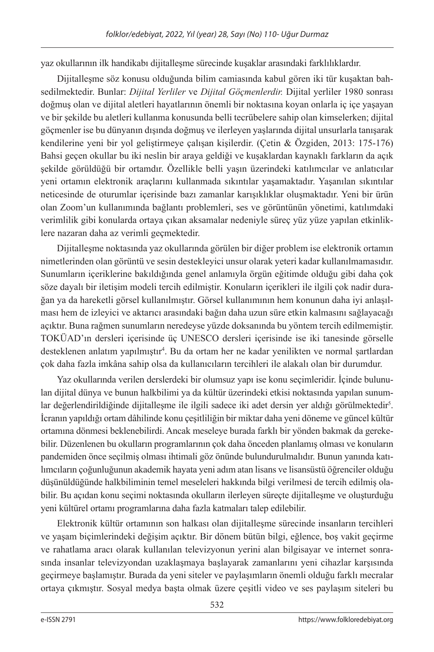yaz okullarının ilk handikabı dijitalleşme sürecinde kuşaklar arasındaki farklılıklardır.

Dijitalleşme söz konusu olduğunda bilim camiasında kabul gören iki tür kuşaktan bahsedilmektedir. Bunlar: *Dijital Yerliler* ve *Dijital Göçmenlerdir.* Dijital yerliler 1980 sonrası doğmuş olan ve dijital aletleri hayatlarının önemli bir noktasına koyan onlarla iç içe yaşayan ve bir şekilde bu aletleri kullanma konusunda belli tecrübelere sahip olan kimselerken; dijital göçmenler ise bu dünyanın dışında doğmuş ve ilerleyen yaşlarında dijital unsurlarla tanışarak kendilerine yeni bir yol geliştirmeye çalışan kişilerdir. (Çetin & Özgiden, 2013: 175-176) Bahsi geçen okullar bu iki neslin bir araya geldiği ve kuşaklardan kaynaklı farkların da açık şekilde görüldüğü bir ortamdır. Özellikle belli yaşın üzerindeki katılımcılar ve anlatıcılar yeni ortamın elektronik araçlarını kullanmada sıkıntılar yaşamaktadır. Yaşanılan sıkıntılar neticesinde de oturumlar içerisinde bazı zamanlar karışıklıklar oluşmaktadır. Yeni bir ürün olan Zoom'un kullanımında bağlantı problemleri, ses ve görüntünün yönetimi, katılımdaki verimlilik gibi konularda ortaya çıkan aksamalar nedeniyle süreç yüz yüze yapılan etkinliklere nazaran daha az verimli geçmektedir.

Dijitalleşme noktasında yaz okullarında görülen bir diğer problem ise elektronik ortamın nimetlerinden olan görüntü ve sesin destekleyici unsur olarak yeteri kadar kullanılmamasıdır. Sunumların içeriklerine bakıldığında genel anlamıyla örgün eğitimde olduğu gibi daha çok söze dayalı bir iletişim modeli tercih edilmiştir. Konuların içerikleri ile ilgili çok nadir durağan ya da hareketli görsel kullanılmıştır. Görsel kullanımının hem konunun daha iyi anlaşılması hem de izleyici ve aktarıcı arasındaki bağın daha uzun süre etkin kalmasını sağlayacağı açıktır. Buna rağmen sunumların neredeyse yüzde doksanında bu yöntem tercih edilmemiştir. TOKÜAD'ın dersleri içerisinde üç UNESCO dersleri içerisinde ise iki tanesinde görselle desteklenen anlatım yapılmıştır4 . Bu da ortam her ne kadar yenilikten ve normal şartlardan çok daha fazla imkâna sahip olsa da kullanıcıların tercihleri ile alakalı olan bir durumdur.

Yaz okullarında verilen derslerdeki bir olumsuz yapı ise konu seçimleridir. İçinde bulunulan dijital dünya ve bunun halkbilimi ya da kültür üzerindeki etkisi noktasında yapılan sunumlar değerlendirildiğinde dijitalleşme ile ilgili sadece iki adet dersin yer aldığı görülmektedir<sup>5</sup>. İcranın yapıldığı ortam dâhilinde konu çeşitliliğin bir miktar daha yeni döneme ve güncel kültür ortamına dönmesi beklenebilirdi. Ancak meseleye burada farklı bir yönden bakmak da gerekebilir. Düzenlenen bu okulların programlarının çok daha önceden planlamış olması ve konuların pandemiden önce seçilmiş olması ihtimali göz önünde bulundurulmalıdır. Bunun yanında katılımcıların çoğunluğunun akademik hayata yeni adım atan lisans ve lisansüstü öğrenciler olduğu düşünüldüğünde halkbiliminin temel meseleleri hakkında bilgi verilmesi de tercih edilmiş olabilir. Bu açıdan konu seçimi noktasında okulların ilerleyen süreçte dijitalleşme ve oluşturduğu yeni kültürel ortamı programlarına daha fazla katmaları talep edilebilir.

Elektronik kültür ortamının son halkası olan dijitalleşme sürecinde insanların tercihleri ve yaşam biçimlerindeki değişim açıktır. Bir dönem bütün bilgi, eğlence, boş vakit geçirme ve rahatlama aracı olarak kullanılan televizyonun yerini alan bilgisayar ve internet sonrasında insanlar televizyondan uzaklaşmaya başlayarak zamanlarını yeni cihazlar karşısında geçirmeye başlamıştır. Burada da yeni siteler ve paylaşımların önemli olduğu farklı mecralar ortaya çıkmıştır. Sosyal medya başta olmak üzere çeşitli video ve ses paylaşım siteleri bu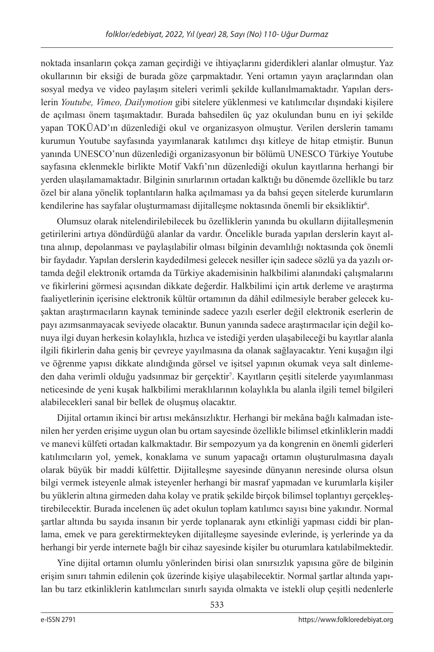noktada insanların çokça zaman geçirdiği ve ihtiyaçlarını giderdikleri alanlar olmuştur. Yaz okullarının bir eksiği de burada göze çarpmaktadır. Yeni ortamın yayın araçlarından olan sosyal medya ve video paylaşım siteleri verimli şekilde kullanılmamaktadır. Yapılan derslerin *Youtube, Vimeo, Dailymotion* gibi sitelere yüklenmesi ve katılımcılar dışındaki kişilere de açılması önem taşımaktadır. Burada bahsedilen üç yaz okulundan bunu en iyi şekilde yapan TOKÜAD'ın düzenlediği okul ve organizasyon olmuştur. Verilen derslerin tamamı kurumun Youtube sayfasında yayımlanarak katılımcı dışı kitleye de hitap etmiştir. Bunun yanında UNESCO'nun düzenlediği organizasyonun bir bölümü UNESCO Türkiye Youtube sayfasına eklenmekle birlikte Motif Vakfı'nın düzenlediği okulun kayıtlarına herhangi bir yerden ulaşılamamaktadır. Bilginin sınırlarının ortadan kalktığı bu dönemde özellikle bu tarz özel bir alana yönelik toplantıların halka açılmaması ya da bahsi geçen sitelerde kurumların kendilerine has sayfalar oluşturmaması dijitalleşme noktasında önemli bir eksikliktir6 .

Olumsuz olarak nitelendirilebilecek bu özelliklerin yanında bu okulların dijitalleşmenin getirilerini artıya döndürdüğü alanlar da vardır. Öncelikle burada yapılan derslerin kayıt altına alınıp, depolanması ve paylaşılabilir olması bilginin devamlılığı noktasında çok önemli bir faydadır. Yapılan derslerin kaydedilmesi gelecek nesiller için sadece sözlü ya da yazılı ortamda değil elektronik ortamda da Türkiye akademisinin halkbilimi alanındaki çalışmalarını ve fikirlerini görmesi açısından dikkate değerdir. Halkbilimi için artık derleme ve araştırma faaliyetlerinin içerisine elektronik kültür ortamının da dâhil edilmesiyle beraber gelecek kuşaktan araştırmacıların kaynak temininde sadece yazılı eserler değil elektronik eserlerin de payı azımsanmayacak seviyede olacaktır. Bunun yanında sadece araştırmacılar için değil konuya ilgi duyan herkesin kolaylıkla, hızlıca ve istediği yerden ulaşabileceği bu kayıtlar alanla ilgili fikirlerin daha geniş bir çevreye yayılmasına da olanak sağlayacaktır. Yeni kuşağın ilgi ve öğrenme yapısı dikkate alındığında görsel ve işitsel yapının okumak veya salt dinlemeden daha verimli olduğu yadsınmaz bir gerçektir7 . Kayıtların çeşitli sitelerde yayımlanması neticesinde de yeni kuşak halkbilimi meraklılarının kolaylıkla bu alanla ilgili temel bilgileri alabilecekleri sanal bir bellek de oluşmuş olacaktır.

Dijital ortamın ikinci bir artısı mekânsızlıktır. Herhangi bir mekâna bağlı kalmadan istenilen her yerden erişime uygun olan bu ortam sayesinde özellikle bilimsel etkinliklerin maddi ve manevi külfeti ortadan kalkmaktadır. Bir sempozyum ya da kongrenin en önemli giderleri katılımcıların yol, yemek, konaklama ve sunum yapacağı ortamın oluşturulmasına dayalı olarak büyük bir maddi külfettir. Dijitalleşme sayesinde dünyanın neresinde olursa olsun bilgi vermek isteyenle almak isteyenler herhangi bir masraf yapmadan ve kurumlarla kişiler bu yüklerin altına girmeden daha kolay ve pratik şekilde birçok bilimsel toplantıyı gerçekleştirebilecektir. Burada incelenen üç adet okulun toplam katılımcı sayısı bine yakındır. Normal şartlar altında bu sayıda insanın bir yerde toplanarak aynı etkinliği yapması ciddi bir planlama, emek ve para gerektirmekteyken dijitalleşme sayesinde evlerinde, iş yerlerinde ya da herhangi bir yerde internete bağlı bir cihaz sayesinde kişiler bu oturumlara katılabilmektedir.

Yine dijital ortamın olumlu yönlerinden birisi olan sınırsızlık yapısına göre de bilginin erişim sınırı tahmin edilenin çok üzerinde kişiye ulaşabilecektir. Normal şartlar altında yapılan bu tarz etkinliklerin katılımcıları sınırlı sayıda olmakta ve istekli olup çeşitli nedenlerle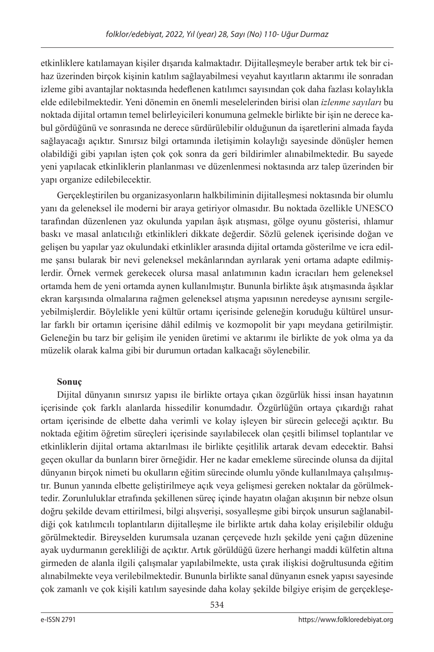etkinliklere katılamayan kişiler dışarıda kalmaktadır. Dijitalleşmeyle beraber artık tek bir cihaz üzerinden birçok kişinin katılım sağlayabilmesi veyahut kayıtların aktarımı ile sonradan izleme gibi avantajlar noktasında hedeflenen katılımcı sayısından çok daha fazlası kolaylıkla elde edilebilmektedir. Yeni dönemin en önemli meselelerinden birisi olan *izlenme sayıları* bu noktada dijital ortamın temel belirleyicileri konumuna gelmekle birlikte bir işin ne derece kabul gördüğünü ve sonrasında ne derece sürdürülebilir olduğunun da işaretlerini almada fayda sağlayacağı açıktır. Sınırsız bilgi ortamında iletişimin kolaylığı sayesinde dönüşler hemen olabildiği gibi yapılan işten çok çok sonra da geri bildirimler alınabilmektedir. Bu sayede yeni yapılacak etkinliklerin planlanması ve düzenlenmesi noktasında arz talep üzerinden bir yapı organize edilebilecektir.

Gerçekleştirilen bu organizasyonların halkbiliminin dijitalleşmesi noktasında bir olumlu yanı da geleneksel ile moderni bir araya getiriyor olmasıdır. Bu noktada özellikle UNESCO tarafından düzenlenen yaz okulunda yapılan âşık atışması, gölge oyunu gösterisi, ıhlamur baskı ve masal anlatıcılığı etkinlikleri dikkate değerdir. Sözlü gelenek içerisinde doğan ve gelişen bu yapılar yaz okulundaki etkinlikler arasında dijital ortamda gösterilme ve icra edilme şansı bularak bir nevi geleneksel mekânlarından ayrılarak yeni ortama adapte edilmişlerdir. Örnek vermek gerekecek olursa masal anlatımının kadın icracıları hem geleneksel ortamda hem de yeni ortamda aynen kullanılmıştır. Bununla birlikte âşık atışmasında âşıklar ekran karşısında olmalarına rağmen geleneksel atışma yapısının neredeyse aynısını sergileyebilmişlerdir. Böylelikle yeni kültür ortamı içerisinde geleneğin koruduğu kültürel unsurlar farklı bir ortamın içerisine dâhil edilmiş ve kozmopolit bir yapı meydana getirilmiştir. Geleneğin bu tarz bir gelişim ile yeniden üretimi ve aktarımı ile birlikte de yok olma ya da müzelik olarak kalma gibi bir durumun ortadan kalkacağı söylenebilir.

# **Sonuç**

Dijital dünyanın sınırsız yapısı ile birlikte ortaya çıkan özgürlük hissi insan hayatının içerisinde çok farklı alanlarda hissedilir konumdadır. Özgürlüğün ortaya çıkardığı rahat ortam içerisinde de elbette daha verimli ve kolay işleyen bir sürecin geleceği açıktır. Bu noktada eğitim öğretim süreçleri içerisinde sayılabilecek olan çeşitli bilimsel toplantılar ve etkinliklerin dijital ortama aktarılması ile birlikte çeşitlilik artarak devam edecektir. Bahsi geçen okullar da bunların birer örneğidir. Her ne kadar emekleme sürecinde olunsa da dijital dünyanın birçok nimeti bu okulların eğitim sürecinde olumlu yönde kullanılmaya çalışılmıştır. Bunun yanında elbette geliştirilmeye açık veya gelişmesi gereken noktalar da görülmektedir. Zorunluluklar etrafında şekillenen süreç içinde hayatın olağan akışının bir nebze olsun doğru şekilde devam ettirilmesi, bilgi alışverişi, sosyalleşme gibi birçok unsurun sağlanabildiği çok katılımcılı toplantıların dijitalleşme ile birlikte artık daha kolay erişilebilir olduğu görülmektedir. Bireyselden kurumsala uzanan çerçevede hızlı şekilde yeni çağın düzenine ayak uydurmanın gerekliliği de açıktır. Artık görüldüğü üzere herhangi maddi külfetin altına girmeden de alanla ilgili çalışmalar yapılabilmekte, usta çırak ilişkisi doğrultusunda eğitim alınabilmekte veya verilebilmektedir. Bununla birlikte sanal dünyanın esnek yapısı sayesinde çok zamanlı ve çok kişili katılım sayesinde daha kolay şekilde bilgiye erişim de gerçekleşe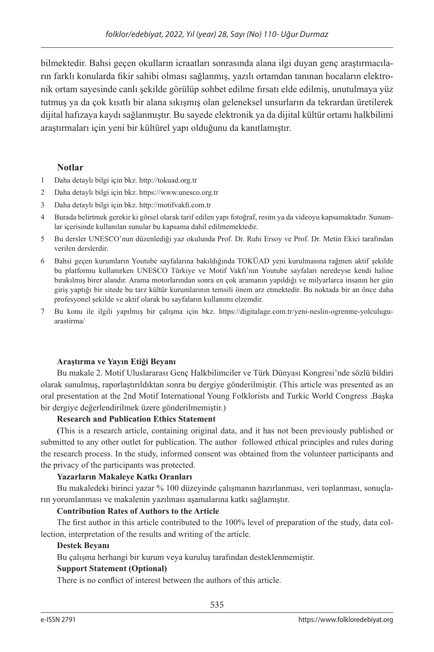bilmektedir. Bahsi geçen okulların icraatları sonrasında alana ilgi duyan genç araştırmacıların farklı konularda fikir sahibi olması sağlanmış, yazılı ortamdan tanınan hocaların elektronik ortam sayesinde canlı şekilde görülüp sohbet edilme fırsatı elde edilmiş, unutulmaya yüz tutmuş ya da çok kısıtlı bir alana sıkışmış olan geleneksel unsurların da tekrardan üretilerek dijital hafızaya kaydı sağlanmıştır. Bu sayede elektronik ya da dijital kültür ortamı halkbilimi araştırmaları için yeni bir kültürel yapı olduğunu da kanıtlamıştır.

## **Notlar**

- 1 Daha detaylı bilgi için bkz. http://tokuad.org.tr
- 2 Daha detaylı bilgi için bkz. https://www.unesco.org.tr
- 3 Daha detaylı bilgi için bkz. http://motifvakfi.com.tr
- 4 Burada belirtmek gerekir ki görsel olarak tarif edilen yapı fotoğraf, resim ya da videoyu kapsamaktadır. Sunumlar içerisinde kullanılan sunular bu kapsama dahil edilmemektedir.
- 5 Bu dersler UNESCO'nun düzenlediği yaz okulunda Prof. Dr. Ruhi Ersoy ve Prof. Dr. Metin Ekici tarafından verilen derslerdir.
- 6 Bahsi geçen kurumların Youtube sayfalarına bakıldığında TOKÜAD yeni kurulmasına rağmen aktif şekilde bu platformu kullanırken UNESCO Türkiye ve Motif Vakfı'nın Youtube sayfaları neredeyse kendi haline bırakılmış birer alandır. Arama motorlarından sonra en çok aramanın yapıldığı ve milyarlarca insanın her gün giriş yaptığı bir sitede bu tarz kültür kurumlarının temsili önem arz etmektedir. Bu noktada bir an önce daha profesyonel şekilde ve aktif olarak bu sayfaların kullanımı elzemdir.
- 7 Bu konu ile ilgili yapılmış bir çalışma için bkz. https://digitalage.com.tr/yeni-neslin-ogrenme-yolculuguarastirma/

### **Araştırma ve Yayın Etiği Beyanı**

Bu makale 2. Motif Uluslararası Genç Halkbilimciler ve Türk Dünyası Kongresi'nde sözlü bildiri olarak sunulmuş, raporlaştırıldıktan sonra bu dergiye gönderilmiştir. (This article was presented as an oral presentation at the 2nd Motif International Young Folklorists and Turkic World Congress .Başka bir dergiye değerlendirilmek üzere gönderilmemiştir.)

### **Research and Publication Ethics Statement**

**(**This is a research article, containing original data, and it has not been previously published or submitted to any other outlet for publication. The author followed ethical principles and rules during the research process. In the study, informed consent was obtained from the volunteer participants and the privacy of the participants was protected.

### **Yazarların Makaleye Katkı Oranları**

Bu makaledeki birinci yazar % 100 düzeyinde çalışmanın hazırlanması, veri toplanması, sonuçların yorumlanması ve makalenin yazılması aşamalarına katkı sağlamıştır.

## **Contribution Rates of Authors to the Article**

The first author in this article contributed to the 100% level of preparation of the study, data collection, interpretation of the results and writing of the article.

### **Destek Beyanı**

Bu çalışma herhangi bir kurum veya kuruluş tarafından desteklenmemiştir.

### **Support Statement (Optional)**

There is no conflict of interest between the authors of this article.